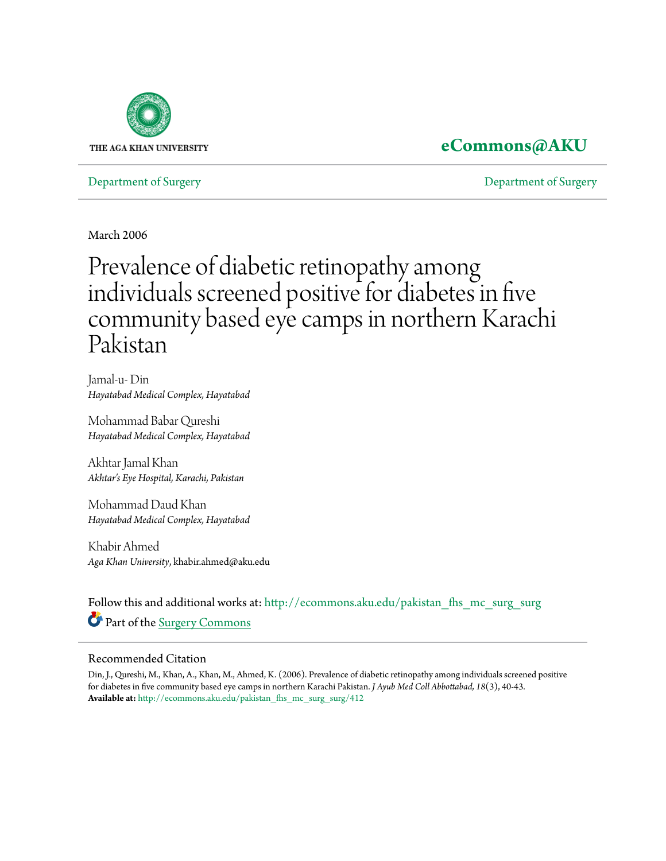

## **[eCommons@AKU](http://ecommons.aku.edu?utm_source=ecommons.aku.edu%2Fpakistan_fhs_mc_surg_surg%2F412&utm_medium=PDF&utm_campaign=PDFCoverPages)**

[Department of Surgery](http://ecommons.aku.edu/pakistan_fhs_mc_surg_surg?utm_source=ecommons.aku.edu%2Fpakistan_fhs_mc_surg_surg%2F412&utm_medium=PDF&utm_campaign=PDFCoverPages) [Department of Surgery](http://ecommons.aku.edu/pakistan_fhs_mc_surg?utm_source=ecommons.aku.edu%2Fpakistan_fhs_mc_surg_surg%2F412&utm_medium=PDF&utm_campaign=PDFCoverPages)

March 2006

# Prevalence of diabetic retinopathy among individuals screened positive for diabetes in five community based eye camps in northern Karachi Pakistan

Jamal-u- Din *Hayatabad Medical Complex, Hayatabad*

Mohammad Babar Qureshi *Hayatabad Medical Complex, Hayatabad*

Akhtar Jamal Khan *Akhtar's Eye Hospital, Karachi, Pakistan*

Mohammad Daud Khan *Hayatabad Medical Complex, Hayatabad*

Khabir Ahmed *Aga Khan University*, khabir.ahmed@aku.edu

Follow this and additional works at: [http://ecommons.aku.edu/pakistan\\_fhs\\_mc\\_surg\\_surg](http://ecommons.aku.edu/pakistan_fhs_mc_surg_surg?utm_source=ecommons.aku.edu%2Fpakistan_fhs_mc_surg_surg%2F412&utm_medium=PDF&utm_campaign=PDFCoverPages) Part of the [Surgery Commons](http://network.bepress.com/hgg/discipline/706?utm_source=ecommons.aku.edu%2Fpakistan_fhs_mc_surg_surg%2F412&utm_medium=PDF&utm_campaign=PDFCoverPages)

#### Recommended Citation

Din, J., Qureshi, M., Khan, A., Khan, M., Ahmed, K. (2006). Prevalence of diabetic retinopathy among individuals screened positive for diabetes in five community based eye camps in northern Karachi Pakistan. *J Ayub Med Coll Abbottabad, 18*(3), 40-43. **Available at:** [http://ecommons.aku.edu/pakistan\\_fhs\\_mc\\_surg\\_surg/412](http://ecommons.aku.edu/pakistan_fhs_mc_surg_surg/412)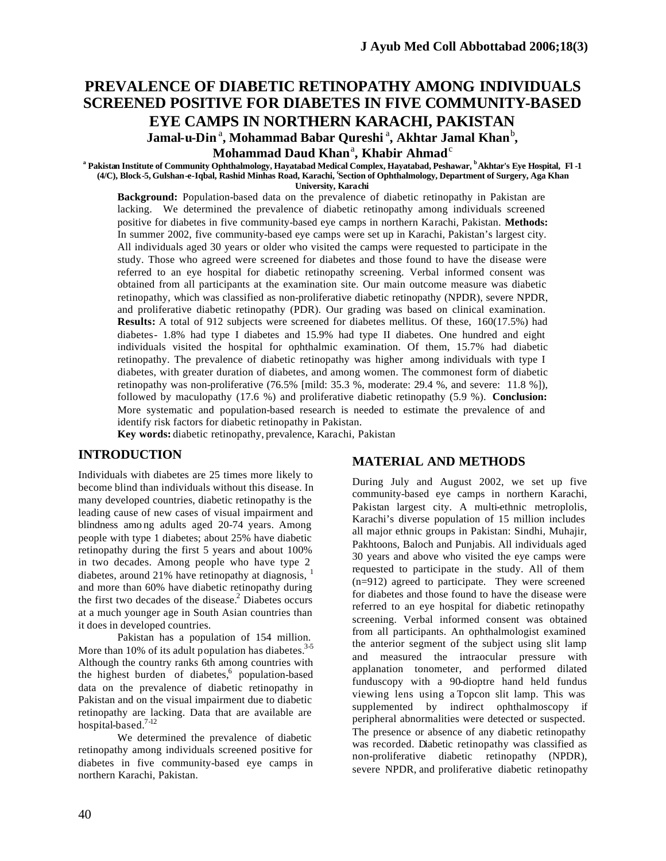### **PREVALENCE OF DIABETIC RETINOPATHY AMONG INDIVIDUALS SCREENED POSITIVE FOR DIABETES IN FIVE COMMUNITY-BASED EYE CAMPS IN NORTHERN KARACHI, PAKISTAN**

Jamal-u-Din<sup>a</sup>, Mohammad Babar Qureshi<sup>a</sup>, Akhtar Jamal Khan<sup>b</sup>,

Mohammad Daud Khan<sup>a</sup>, Khabir Ahmad<sup>c</sup>

**<sup>a</sup>Pakistan Institute of Community Ophthalmology, Hayatabad Medical Complex, Hayatabad, Peshawar, <sup>b</sup>Akhtar's Eye Hospital, Fl -1 (4/C), Block-5, Gulshan-e-Iqbal, Rashid Minhas Road, Karachi, <sup>c</sup> Section of Ophthalmology, Department of Surgery, Aga Khan University, Karachi**

**Background:** Population-based data on the prevalence of diabetic retinopathy in Pakistan are lacking. We determined the prevalence of diabetic retinopathy among individuals screened positive for diabetes in five community-based eye camps in northern Karachi, Pakistan. **Methods:**  In summer 2002, five community-based eye camps were set up in Karachi, Pakistan's largest city. All individuals aged 30 years or older who visited the camps were requested to participate in the study. Those who agreed were screened for diabetes and those found to have the disease were referred to an eye hospital for diabetic retinopathy screening. Verbal informed consent was obtained from all participants at the examination site. Our main outcome measure was diabetic retinopathy, which was classified as non-proliferative diabetic retinopathy (NPDR), severe NPDR, and proliferative diabetic retinopathy (PDR). Our grading was based on clinical examination. **Results:** A total of 912 subjects were screened for diabetes mellitus. Of these, 160(17.5%) had diabetes- 1.8% had type I diabetes and 15.9% had type II diabetes. One hundred and eight individuals visited the hospital for ophthalmic examination. Of them, 15.7% had diabetic retinopathy. The prevalence of diabetic retinopathy was higher among individuals with type I diabetes, with greater duration of diabetes, and among women. The commonest form of diabetic retinopathy was non-proliferative (76.5% [mild: 35.3 %, moderate: 29.4 %, and severe: 11.8 %]), followed by maculopathy (17.6 %) and proliferative diabetic retinopathy (5.9 %). **Conclusion:** More systematic and population-based research is needed to estimate the prevalence of and identify risk factors for diabetic retinopathy in Pakistan.

**Key words:** diabetic retinopathy, prevalence, Karachi, Pakistan

#### **INTRODUCTION**

Individuals with diabetes are 25 times more likely to become blind than individuals without this disease. In many developed countries, diabetic retinopathy is the leading cause of new cases of visual impairment and blindness amo ng adults aged 20-74 years. Among people with type 1 diabetes; about 25% have diabetic retinopathy during the first 5 years and about 100% in two decades. Among people who have type 2 diabetes, around 21% have retinopathy at diagnosis,  $<sup>1</sup>$ </sup> and more than 60% have diabetic retinopathy during the first two decades of the disease.<sup>2</sup> Diabetes occurs at a much younger age in South Asian countries than it does in developed countries.

Pakistan has a population of 154 million. More than 10% of its adult population has diabetes.<sup>3-5</sup> Although the country ranks 6th among countries with the highest burden of diabetes,<sup>6</sup> population-based data on the prevalence of diabetic retinopathy in Pakistan and on the visual impairment due to diabetic retinopathy are lacking. Data that are available are hospital-based.7-12

We determined the prevalence of diabetic retinopathy among individuals screened positive for diabetes in five community-based eye camps in northern Karachi, Pakistan.

#### **MATERIAL AND METHODS**

During July and August 2002, we set up five community-based eye camps in northern Karachi, Pakistan largest city. A multi-ethnic metroplolis, Karachi's diverse population of 15 million includes all major ethnic groups in Pakistan: Sindhi, Muhajir, Pakhtoons, Baloch and Punjabis. All individuals aged 30 years and above who visited the eye camps were requested to participate in the study. All of them (n=912) agreed to participate. They were screened for diabetes and those found to have the disease were referred to an eye hospital for diabetic retinopathy screening. Verbal informed consent was obtained from all participants. An ophthalmologist examined the anterior segment of the subject using slit lamp and measured the intraocular pressure with applanation tonometer, and performed dilated funduscopy with a 90-dioptre hand held fundus viewing lens using a Topcon slit lamp. This was supplemented by indirect ophthalmoscopy if peripheral abnormalities were detected or suspected. The presence or absence of any diabetic retinopathy was recorded. Diabetic retinopathy was classified as non-proliferative diabetic retinopathy (NPDR), severe NPDR, and proliferative diabetic retinopathy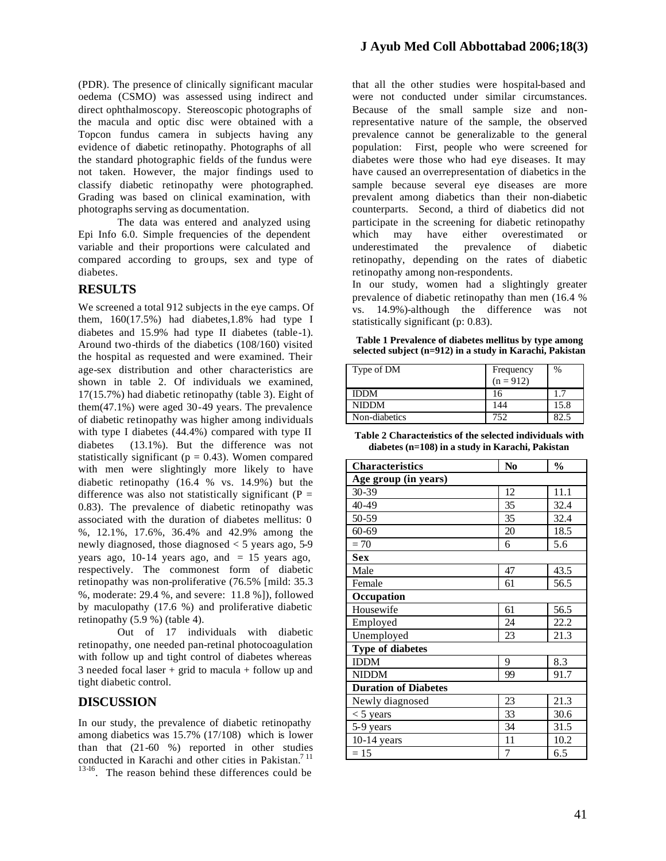(PDR). The presence of clinically significant macular oedema (CSMO) was assessed using indirect and direct ophthalmoscopy. Stereoscopic photographs of the macula and optic disc were obtained with a Topcon fundus camera in subjects having any evidence of diabetic retinopathy. Photographs of all the standard photographic fields of the fundus were not taken. However, the major findings used to classify diabetic retinopathy were photographed. Grading was based on clinical examination, with photographs serving as documentation.

The data was entered and analyzed using Epi Info 6.0. Simple frequencies of the dependent variable and their proportions were calculated and compared according to groups, sex and type of diabetes.

#### **RESULTS**

We screened a total 912 subjects in the eye camps. Of them, 160(17.5%) had diabetes,1.8% had type I diabetes and 15.9% had type II diabetes (table-1). Around two-thirds of the diabetics (108/160) visited the hospital as requested and were examined. Their age-sex distribution and other characteristics are shown in table 2. Of individuals we examined, 17(15.7%) had diabetic retinopathy (table 3). Eight of them(47.1%) were aged 30-49 years. The prevalence of diabetic retinopathy was higher among individuals with type I diabetes (44.4%) compared with type II diabetes (13.1%). But the difference was not statistically significant ( $p = 0.43$ ). Women compared with men were slightingly more likely to have diabetic retinopathy (16.4 % vs. 14.9%) but the difference was also not statistically significant ( $P =$ 0.83). The prevalence of diabetic retinopathy was associated with the duration of diabetes mellitus: 0 %, 12.1%, 17.6%, 36.4% and 42.9% among the newly diagnosed, those diagnosed < 5 years ago, 5-9 years ago,  $10-14$  years ago, and  $= 15$  years ago, respectively. The commonest form of diabetic retinopathy was non-proliferative (76.5% [mild: 35.3 %, moderate: 29.4 %, and severe: 11.8 %]), followed by maculopathy (17.6 %) and proliferative diabetic retinopathy (5.9 %) (table 4).

Out of 17 individuals with diabetic retinopathy, one needed pan-retinal photocoagulation with follow up and tight control of diabetes whereas 3 needed focal laser  $+$  grid to macula  $+$  follow up and tight diabetic control.

#### **DISCUSSION**

In our study, the prevalence of diabetic retinopathy among diabetics was 15.7% (17/108) which is lower than that (21-60 %) reported in other studies conducted in Karachi and other cities in Pakistan.<sup>711</sup> <sup>13-16</sup>. The reason behind these differences could be

that all the other studies were hospital-based and were not conducted under similar circumstances. Because of the small sample size and nonrepresentative nature of the sample, the observed prevalence cannot be generalizable to the general population: First, people who were screened for diabetes were those who had eye diseases. It may have caused an overrepresentation of diabetics in the sample because several eye diseases are more prevalent among diabetics than their non-diabetic counterparts. Second, a third of diabetics did not participate in the screening for diabetic retinopathy which may have either overestimated or underestimated the prevalence of diabetic retinopathy, depending on the rates of diabetic retinopathy among non-respondents.

In our study, women had a slightingly greater prevalence of diabetic retinopathy than men (16.4 % vs. 14.9%)-although the difference was not statistically significant (p: 0.83).

**Table 1 Prevalence of diabetes mellitus by type among selected subject (n=912) in a study in Karachi, Pakistan**

| Type of DM    | Frequency<br>$(n = 912)$ | $\%$ |
|---------------|--------------------------|------|
| <b>IDDM</b>   | 16                       |      |
| <b>NIDDM</b>  | 144                      | 15.8 |
| Non-diabetics | 752                      | 82.5 |

| Table 2 Charactenstics of the selected individuals with |
|---------------------------------------------------------|
| diabetes $(n=108)$ in a study in Karachi, Pakistan      |

| <b>Characteristics</b>      | N <sub>0</sub> | $\frac{0}{0}$ |  |
|-----------------------------|----------------|---------------|--|
| Age group (in years)        |                |               |  |
| 30-39                       | 12             | 11.1          |  |
| 40-49                       | 35             | 32.4          |  |
| 50-59                       | 35             | 32.4          |  |
| $60 - 69$                   | 20             | 18.5          |  |
| $= 70$                      | 6              | 5.6           |  |
| <b>Sex</b>                  |                |               |  |
| Male                        | 47             | 43.5          |  |
| Female                      | 61             | 56.5          |  |
| Occupation                  |                |               |  |
| Housewife                   | 61             | 56.5          |  |
| Employed                    | 24             | 22.2          |  |
| Unemployed                  | 23             | 21.3          |  |
| <b>Type of diabetes</b>     |                |               |  |
| <b>IDDM</b>                 | 9              | 8.3           |  |
| <b>NIDDM</b>                | 99             | 91.7          |  |
| <b>Duration of Diabetes</b> |                |               |  |
| Newly diagnosed             | 23             | 21.3          |  |
| $<$ 5 years                 | 33             | 30.6          |  |
| 5-9 years                   | 34             | 31.5          |  |
| $10-14$ years               | 11             | 10.2          |  |
| $=15$                       | 7              | 6.5           |  |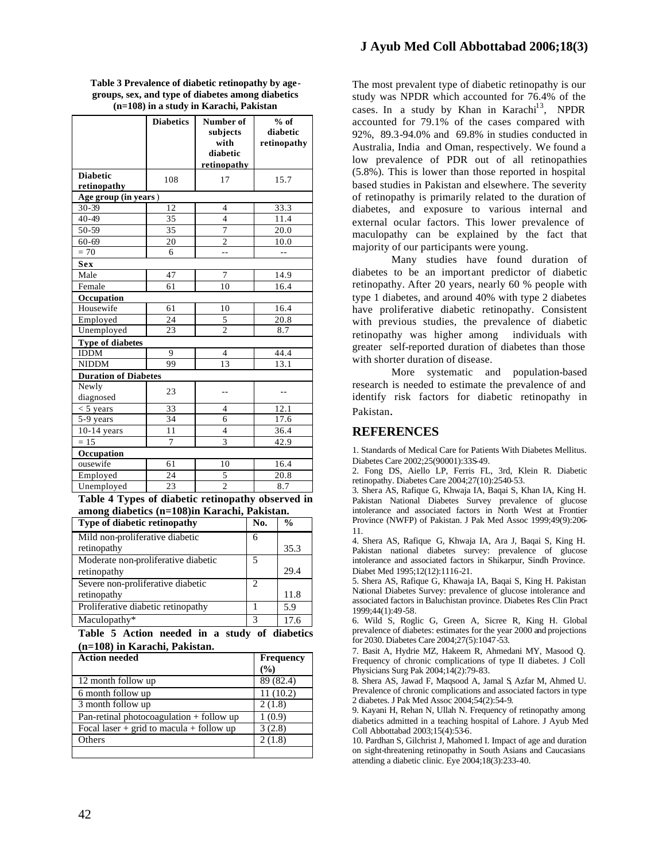|                         | <b>Diabetics</b>            | Number of<br>subjects<br>with<br>diabetic<br>retinopathy | $%$ of<br>diabetic<br>retinopathy |  |
|-------------------------|-----------------------------|----------------------------------------------------------|-----------------------------------|--|
| <b>Diabetic</b>         | 108                         | 17                                                       | 15.7                              |  |
| retinopathy             |                             |                                                          |                                   |  |
| Age group (in years)    |                             |                                                          |                                   |  |
| 30-39                   | 12                          | 4                                                        | 33.3                              |  |
| 40-49                   | $\overline{35}$             | $\overline{4}$                                           | 11.4                              |  |
| 50-59                   | 35                          | $\overline{7}$                                           | 20.0                              |  |
| $60 - 69$               | 20                          | $\overline{2}$                                           | 10.0                              |  |
| $= 70$                  | 6                           | 44                                                       | $-1$                              |  |
| Sex                     |                             |                                                          |                                   |  |
| Male                    | 47                          | 7                                                        | 14.9                              |  |
| Female                  | 61                          | 10                                                       | 16.4                              |  |
| Occupation              |                             |                                                          |                                   |  |
| Housewife               | 61                          | 10                                                       | 16.4                              |  |
| Employed                | 24                          | 5                                                        | 20.8                              |  |
| Unemployed              | 23                          | $\overline{\mathcal{L}}$                                 | 8.7                               |  |
| Type of diabetes        |                             |                                                          |                                   |  |
| <b>IDDM</b>             | 9                           | 4                                                        | 44.4                              |  |
| <b>NIDDM</b>            | 99                          | 13                                                       | 13.1                              |  |
|                         | <b>Duration of Diabetes</b> |                                                          |                                   |  |
| Newly                   | 23                          |                                                          |                                   |  |
| diagnosed               |                             |                                                          |                                   |  |
| $<$ 5 years             | 33                          | 4                                                        | 12.1                              |  |
| $\overline{5}$ -9 years | 34                          | 6                                                        | 17.6                              |  |
| $10-14$ years           | 11                          | $\overline{\mathbf{4}}$                                  | 36.4                              |  |
| $= 15$                  | 7                           | 3                                                        | 42.9                              |  |
| Occupation              |                             |                                                          |                                   |  |
| ousewife                | 61                          | 10                                                       | 16.4                              |  |
| Employed                | 24                          | 5                                                        | 20.8                              |  |
| Unemployed              | 23                          | $\overline{2}$                                           | 8.7                               |  |

**Table 3 Prevalence of diabetic retinopathy by agegroups, sex, and type of diabetes among diabetics (n=108) in a study in Karachi, Pakistan**

**Table 4 Types of diabetic retinopathy observed in among diabetics (n=108)in Karachi, Pakistan.**

| Type of diabetic retinopathy        | No. | $\frac{0}{0}$ |
|-------------------------------------|-----|---------------|
| Mild non-proliferative diabetic     | 6   |               |
| retinopathy                         |     | 35.3          |
| Moderate non-proliferative diabetic | 5   |               |
| retinopathy                         |     | 29.4          |
| Severe non-proliferative diabetic   | 2   |               |
| retinopathy                         |     | 11.8          |
| Proliferative diabetic retinopathy  |     | 5.9           |
| Maculopathy*                        | 3   | 17.6          |

**Table 5 Action needed in a study of diabetics (n=108) in Karachi, Pakistan.**

| <b>Action needed</b>                         | <b>Frequency</b> |
|----------------------------------------------|------------------|
|                                              | (%)              |
| 12 month follow up                           | 89 (82.4)        |
| 6 month follow up                            | 11(10.2)         |
| 3 month follow up                            | 2(1.8)           |
| Pan-retinal photocoagulation + follow up     | 1(0.9)           |
| Focal laser $+$ grid to macula $+$ follow up | 3(2.8)           |
| Others                                       | 2(1.8)           |
|                                              |                  |

The most prevalent type of diabetic retinopathy is our study was NPDR which accounted for 76.4% of the cases. In a study by Khan in Karachi $^{13}$ , NPDR accounted for 79.1% of the cases compared with 92%, 89.3-94.0% and 69.8% in studies conducted in Australia, India and Oman, respectively. We found a low prevalence of PDR out of all retinopathies (5.8%). This is lower than those reported in hospital based studies in Pakistan and elsewhere. The severity of retinopathy is primarily related to the duration of diabetes, and exposure to various internal and external ocular factors. This lower prevalence of maculopathy can be explained by the fact that majority of our participants were young.

Many studies have found duration of diabetes to be an important predictor of diabetic retinopathy. After 20 years, nearly 60 % people with type 1 diabetes, and around 40% with type 2 diabetes have proliferative diabetic retinopathy. Consistent with previous studies, the prevalence of diabetic retinopathy was higher among individuals with greater self-reported duration of diabetes than those with shorter duration of disease.

More systematic and population-based research is needed to estimate the prevalence of and identify risk factors for diabetic retinopathy in Pakistan.

#### **REFERENCES**

1. Standards of Medical Care for Patients With Diabetes Mellitus. Diabetes Care 2002;25(90001):33S-49.

2. Fong DS, Aiello LP, Ferris FL, 3rd, Klein R. Diabetic retinopathy. Diabetes Care 2004;27(10):2540-53.

3. Shera AS, Rafique G, Khwaja IA, Baqai S, Khan IA, King H. Pakistan National Diabetes Survey prevalence of glucose intolerance and associated factors in North West at Frontier Province (NWFP) of Pakistan. J Pak Med Assoc 1999;49(9):206- 11.

4. Shera AS, Rafique G, Khwaja IA, Ara J, Baqai S, King H. Pakistan national diabetes survey: prevalence of glucose intolerance and associated factors in Shikarpur, Sindh Province. Diabet Med 1995;12(12):1116-21.

5. Shera AS, Rafique G, Khawaja IA, Baqai S, King H. Pakistan National Diabetes Survey: prevalence of glucose intolerance and associated factors in Baluchistan province. Diabetes Res Clin Pract 1999;44(1):49-58.

6. Wild S, Roglic G, Green A, Sicree R, King H. Global prevalence of diabetes: estimates for the year 2000 and projections for 2030. Diabetes Care 2004;27(5):1047-53.

7. Basit A, Hydrie MZ, Hakeem R, Ahmedani MY, Masood Q. Frequency of chronic complications of type II diabetes. J Coll Physicians Surg Pak 2004;14(2):79-83.

8. Shera AS, Jawad F, Maqsood A, Jamal S, Azfar M, Ahmed U. Prevalence of chronic complications and associated factors in type 2 diabetes. J Pak Med Assoc 2004;54(2):54-9.

9. Kayani H, Rehan N, Ullah N. Frequency of retinopathy among diabetics admitted in a teaching hospital of Lahore. J Ayub Med Coll Abbottabad 2003;15(4):53-6.

10. Pardhan S, Gilchrist J, Mahomed I. Impact of age and duration on sight-threatening retinopathy in South Asians and Caucasians attending a diabetic clinic. Eye 2004;18(3):233-40.